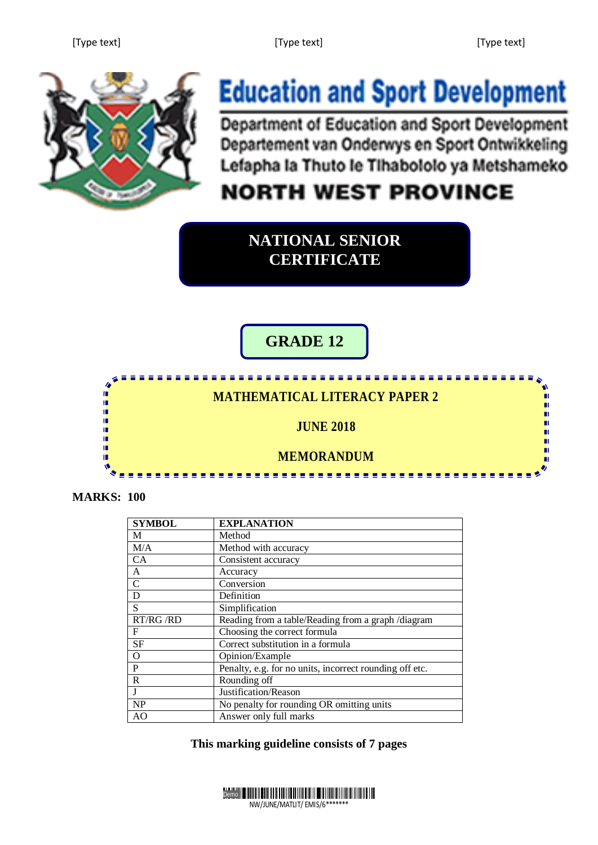n.

п



# **Education and Sport Development**

Department of Education and Sport Development Departement van Onderwys en Sport Ontwikkeling Lefapha la Thuto le Tihabololo ya Metshameko

## **NORTH WEST PROVINCE**

<u> - - - - - - - - -</u>

**NATIONAL SENIOR CERTIFICATE**

### **GRADE 12**

### **MATHEMATICAL LITERACY PAPER 2**

#### **JUNE 2018**

#### **MEMORANDUM**

**MARKS: 100**

ή. τĖ,

m

n. 'n í.

| <b>SYMBOL</b>  | <b>EXPLANATION</b>                                      |
|----------------|---------------------------------------------------------|
| М              | Method                                                  |
| M/A            | Method with accuracy                                    |
| CA             | Consistent accuracy                                     |
| A              | Accuracy                                                |
| $\mathcal{C}$  | Conversion                                              |
| D              | Definition                                              |
| S              | Simplification                                          |
| RT/RG /RD      | Reading from a table/Reading from a graph /diagram      |
| F              | Choosing the correct formula                            |
| <b>SF</b>      | Correct substitution in a formula                       |
| $\Omega$       | Opinion/Example                                         |
| P              | Penalty, e.g. for no units, incorrect rounding off etc. |
| R              | Rounding off                                            |
| J              | Justification/Reason                                    |
| <b>NP</b>      | No penalty for rounding OR omitting units               |
| A <sub>O</sub> | Answer only full marks                                  |

**This marking guideline consists of 7 pages** 

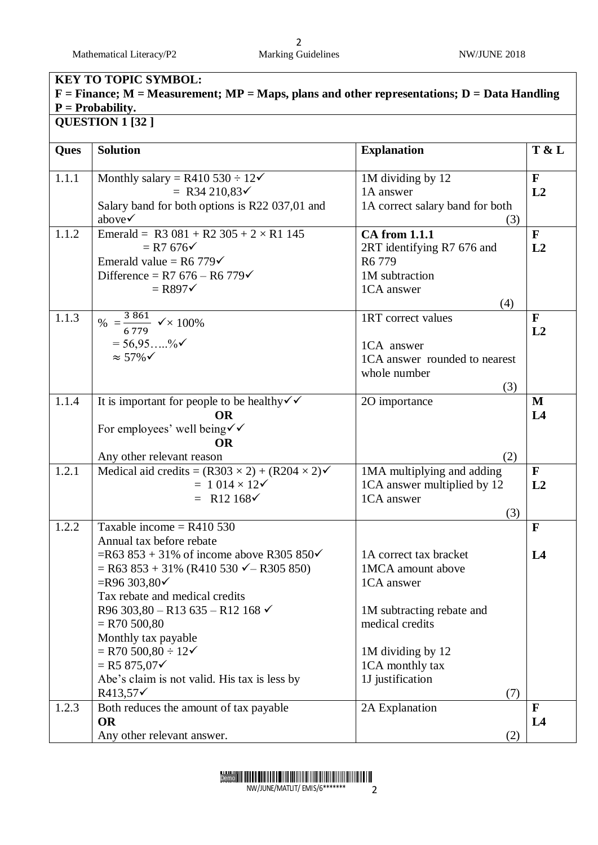Mathematical Literacy/P2 Marking Guidelines NW/JUNE 2018

# 2<br>Marking Guidelines

| <b>KEY TO TOPIC SYMBOL:</b>                                                                                         |                                                                               |                                     |                    |  |  |
|---------------------------------------------------------------------------------------------------------------------|-------------------------------------------------------------------------------|-------------------------------------|--------------------|--|--|
| $F =$ Finance; M = Measurement; MP = Maps, plans and other representations; D = Data Handling<br>$P = Probability.$ |                                                                               |                                     |                    |  |  |
|                                                                                                                     | QUESTION 1 [32]                                                               |                                     |                    |  |  |
|                                                                                                                     |                                                                               |                                     |                    |  |  |
| Ques                                                                                                                | <b>Solution</b>                                                               | <b>Explanation</b>                  | T & L              |  |  |
|                                                                                                                     |                                                                               |                                     |                    |  |  |
| 1.1.1                                                                                                               | Monthly salary = R410 530 $\div$ 12 $\checkmark$<br>= R34 210,83 $\checkmark$ | 1M dividing by 12<br>1A answer      | $\mathbf{F}$<br>L2 |  |  |
|                                                                                                                     | Salary band for both options is R22 037,01 and                                | 1A correct salary band for both     |                    |  |  |
|                                                                                                                     | above $\checkmark$                                                            | (3)                                 |                    |  |  |
| 1.1.2                                                                                                               | Emerald = R3 081 + R2 305 + 2 $\times$ R1 145                                 | <b>CA</b> from 1.1.1                | $\mathbf{F}$       |  |  |
|                                                                                                                     | $=$ R7 676 $\checkmark$                                                       | 2RT identifying R7 676 and          | L2                 |  |  |
|                                                                                                                     | Emerald value = R6 779 $\checkmark$                                           | R <sub>6</sub> 779                  |                    |  |  |
|                                                                                                                     | Difference = R7 $676 - R6$ 779 $\checkmark$                                   | 1M subtraction                      |                    |  |  |
|                                                                                                                     | $=$ R897 $\checkmark$                                                         | 1CA answer                          |                    |  |  |
|                                                                                                                     |                                                                               | (4)                                 |                    |  |  |
| 1.1.3                                                                                                               | % = $\frac{3.861}{6.779}$ $\checkmark \times 100\%$                           | 1RT correct values                  | $\mathbf{F}$       |  |  |
|                                                                                                                     |                                                                               |                                     | L2                 |  |  |
|                                                                                                                     | $= 56.9596$                                                                   | 1CA answer                          |                    |  |  |
|                                                                                                                     | $\approx$ 57% $\checkmark$                                                    | 1CA answer rounded to nearest       |                    |  |  |
|                                                                                                                     |                                                                               | whole number                        |                    |  |  |
|                                                                                                                     |                                                                               | (3)                                 |                    |  |  |
| 1.1.4                                                                                                               | It is important for people to be healthy $\checkmark$                         | 2O importance                       | M                  |  |  |
|                                                                                                                     | <b>OR</b>                                                                     |                                     | L4                 |  |  |
|                                                                                                                     | For employees' well being√√<br><b>OR</b>                                      |                                     |                    |  |  |
|                                                                                                                     | Any other relevant reason                                                     | (2)                                 |                    |  |  |
| 1.2.1                                                                                                               | Medical aid credits = $(R303 \times 2) + (R204 \times 2)$                     | 1MA multiplying and adding          | $\mathbf{F}$       |  |  |
|                                                                                                                     | $= 1014 \times 12$                                                            | 1CA answer multiplied by 12         | L2                 |  |  |
|                                                                                                                     | = R12 168 $\checkmark$                                                        | 1CA answer                          |                    |  |  |
|                                                                                                                     |                                                                               | (3)                                 |                    |  |  |
| 1.2.2                                                                                                               | Taxable income = $R410$ 530                                                   |                                     | F                  |  |  |
|                                                                                                                     | Annual tax before rebate                                                      |                                     |                    |  |  |
|                                                                                                                     | =R63 853 + 31% of income above R305 850 $\checkmark$                          | 1A correct tax bracket              | L4                 |  |  |
|                                                                                                                     | $=$ R63 853 + 31% (R410 530 $\checkmark$ – R305 850)                          | 1MCA amount above                   |                    |  |  |
|                                                                                                                     | $=$ R96 303,80 $\checkmark$                                                   | 1CA answer                          |                    |  |  |
|                                                                                                                     | Tax rebate and medical credits                                                |                                     |                    |  |  |
|                                                                                                                     | R96 303,80 - R13 635 - R12 168 $\checkmark$                                   | 1M subtracting rebate and           |                    |  |  |
|                                                                                                                     | $=$ R70 500,80                                                                | medical credits                     |                    |  |  |
|                                                                                                                     | Monthly tax payable                                                           |                                     |                    |  |  |
|                                                                                                                     | $=$ R70 500,80 $\div$ 12 $\checkmark$<br>$=$ R5 875,07 $\checkmark$           | 1M dividing by 12                   |                    |  |  |
|                                                                                                                     | Abe's claim is not valid. His tax is less by                                  | 1CA monthly tax<br>1J justification |                    |  |  |
|                                                                                                                     | $R413,57\checkmark$                                                           | (7)                                 |                    |  |  |
| 1.2.3                                                                                                               | Both reduces the amount of tax payable                                        | 2A Explanation                      | F                  |  |  |
|                                                                                                                     | <b>OR</b>                                                                     |                                     | L4                 |  |  |
|                                                                                                                     | Any other relevant answer.                                                    | (2)                                 |                    |  |  |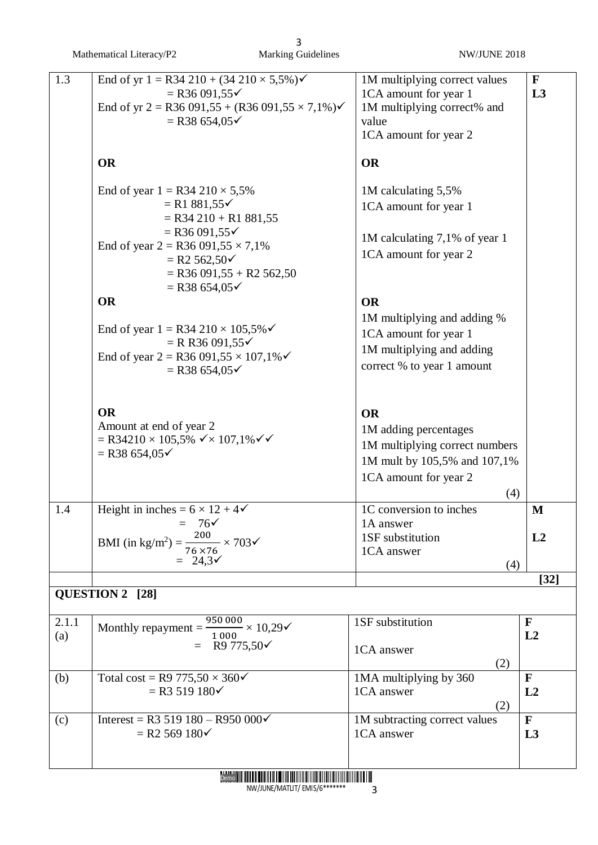|              | Mathematical Literacy/P2                                                                                                                                                              | 3<br><b>Marking Guidelines</b> | NW/JUNE 2018                                                                                                                         |                    |
|--------------|---------------------------------------------------------------------------------------------------------------------------------------------------------------------------------------|--------------------------------|--------------------------------------------------------------------------------------------------------------------------------------|--------------------|
| 1.3          | End of yr $1 = R34\ 210 + (34\ 210 \times 5,5\%)$<br>$=$ R36 091,55 $\checkmark$<br>End of yr 2 = R36 091,55 + (R36 091,55 $\times$ 7,1%) $\checkmark$<br>$=$ R38 654,05 $\checkmark$ |                                | 1M multiplying correct values<br>1CA amount for year 1<br>1M multiplying correct% and<br>value<br>1CA amount for year 2              | $\mathbf{F}$<br>L3 |
|              | <b>OR</b>                                                                                                                                                                             |                                | <b>OR</b>                                                                                                                            |                    |
|              | End of year $1 = R34\ 210 \times 5,5\%$<br>$= R1 881,55 \checkmark$<br>$=$ R34 210 + R1 881,55<br>$=$ R36 091,55 $\checkmark$                                                         |                                | 1M calculating 5,5%<br>1CA amount for year 1                                                                                         |                    |
|              | End of year $2 = R36091,55 \times 7,1\%$<br>$= R2 562,50 \checkmark$<br>$=$ R36 091,55 + R2 562,50<br>$=$ R38 654,05 $\checkmark$                                                     |                                | 1M calculating 7,1% of year 1<br>1CA amount for year 2                                                                               |                    |
|              | <b>OR</b><br>End of year $1 = R34\ 210 \times 105,5\%$<br>$=$ R R36 091,55 $\checkmark$<br>End of year 2 = R36 091,55 $\times$ 107,1% $\checkmark$<br>$=$ R38 654,05 $\checkmark$     |                                | <b>OR</b><br>1M multiplying and adding %<br>1CA amount for year 1<br>1M multiplying and adding<br>correct % to year 1 amount         |                    |
|              | <b>OR</b><br>Amount at end of year 2<br>$=$ R34210 $\times$ 105,5% $\checkmark$ $\times$ 107,1% $\checkmark$<br>$=$ R38 654,05 $\checkmark$                                           |                                | <b>OR</b><br>1M adding percentages<br>1M multiplying correct numbers<br>1M mult by 105,5% and 107,1%<br>1CA amount for year 2<br>(4) |                    |
| 1.4          | Height in inches = $6 \times 12 + 4\checkmark$<br>$= 76$<br>BMI (in kg/m <sup>2</sup> ) = $\frac{200}{76 \times 76} \times 703$<br>$= 24.3 \checkmark$                                |                                | 1C conversion to inches<br>1A answer<br>1SF substitution<br>1CA answer                                                               | M<br>L2            |
|              |                                                                                                                                                                                       |                                | (4)                                                                                                                                  | $[32]$             |
|              | QUESTION 2 [28]                                                                                                                                                                       |                                |                                                                                                                                      |                    |
| 2.1.1<br>(a) | Monthly repayment = $\frac{950\,000}{4.000} \times 10,29$<br>= R9 775,50 $\checkmark$                                                                                                 |                                | 1SF substitution<br>1CA answer<br>(2)                                                                                                | $\mathbf{F}$<br>L2 |
| (b)          | Total cost = R9 775,50 $\times$ 360 $\checkmark$<br>$=$ R3 519 180 $\checkmark$                                                                                                       |                                | 1MA multiplying by 360<br>1CA answer<br>(2)                                                                                          | $\mathbf{F}$<br>L2 |
| (c)          | Interest = R3 519 180 – R950 000√<br>$=$ R2 569 180 $\checkmark$                                                                                                                      |                                | 1M subtracting correct values<br>1CA answer                                                                                          | $\mathbf{F}$<br>L3 |



NW/JUNE/MATLIT/ EMIS/6\*\*\*\*\*\*\* 3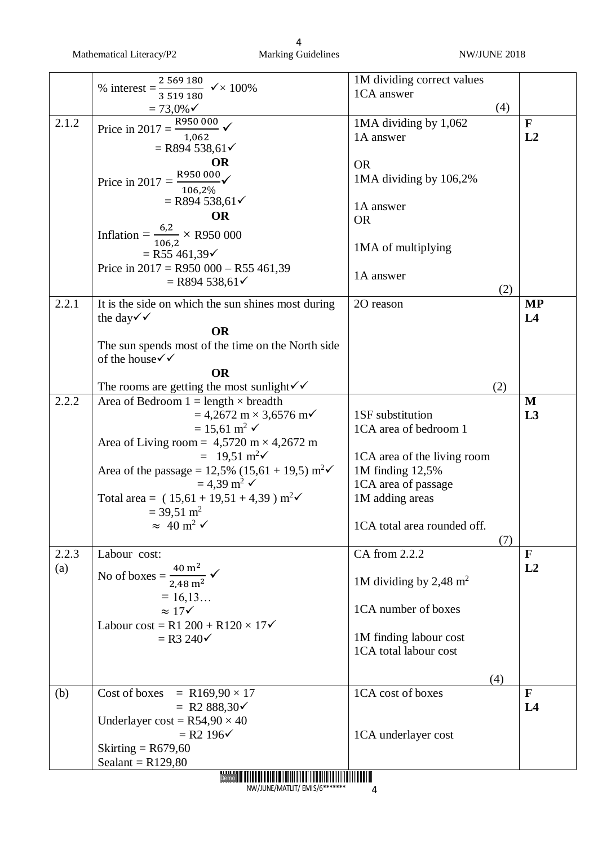Mathematical Literacy/P2 Marking Guidelines NW/JUNE 2018

|       |                                                                           | 1M dividing correct values         |                |
|-------|---------------------------------------------------------------------------|------------------------------------|----------------|
|       | % interest = $\frac{2\,569\,180}{3\,519\,180}$ $\checkmark \times 100\%$  |                                    |                |
|       |                                                                           | 1CA answer                         |                |
|       | $= 73,0\%$                                                                | (4)                                |                |
| 2.1.2 | R950000<br>Price in $2017 = -$                                            | 1MA dividing by 1,062              | $\mathbf{F}$   |
|       | 1,062                                                                     | 1A answer                          | L2             |
|       | $=$ R894 538,61 $\checkmark$                                              |                                    |                |
|       | <b>OR</b>                                                                 | <b>OR</b>                          |                |
|       |                                                                           |                                    |                |
|       | Price in 2017 = $\frac{\text{R950 000}}{\text{C}}$<br>106,2%              | 1MA dividing by 106,2%             |                |
|       | $=$ R894 538,61 $\checkmark$                                              |                                    |                |
|       | <b>OR</b>                                                                 | 1A answer                          |                |
|       |                                                                           | <b>OR</b>                          |                |
|       | Inflation = $\frac{6.2}{106.2} \times R950000$                            |                                    |                |
|       |                                                                           | 1MA of multiplying                 |                |
|       | $=$ R55 461,39 $\checkmark$                                               |                                    |                |
|       | Price in $2017 = R950\,000 - R55\,461,39$                                 | 1A answer                          |                |
|       | $=$ R894 538,61 $\checkmark$                                              | (2)                                |                |
| 2.2.1 |                                                                           |                                    |                |
|       | It is the side on which the sun shines most during                        | 2O reason                          | <b>MP</b>      |
|       | the day $\checkmark$                                                      |                                    | L <sub>4</sub> |
|       | <b>OR</b>                                                                 |                                    |                |
|       | The sun spends most of the time on the North side                         |                                    |                |
|       | of the house√√                                                            |                                    |                |
|       | <b>OR</b>                                                                 |                                    |                |
|       | The rooms are getting the most sunlight $\checkmark$                      | (2)                                |                |
| 2.2.2 | Area of Bedroom $1 =$ length $\times$ breadth                             |                                    | $\mathbf M$    |
|       | $= 4,2672 \text{ m} \times 3,6576 \text{ m}$                              | 1SF substitution                   | L3             |
|       | $= 15,61 \text{ m}^2$ $\checkmark$                                        | 1CA area of bedroom 1              |                |
|       |                                                                           |                                    |                |
|       | Area of Living room = $4,5720 \text{ m} \times 4,2672 \text{ m}$          |                                    |                |
|       | $= 19,51 \text{ m}^2\checkmark$                                           | 1CA area of the living room        |                |
|       | Area of the passage = $12,5\%$ (15,61 + 19,5) m <sup>2</sup> $\checkmark$ | 1M finding 12,5%                   |                |
|       | $= 4,39 \text{ m}^2$ $\checkmark$                                         | 1CA area of passage                |                |
|       | Total area = $(15,61 + 19,51 + 4,39)$ m <sup>2</sup> $\checkmark$         | 1M adding areas                    |                |
|       | $=$ 39,51 m <sup>2</sup>                                                  |                                    |                |
|       | $\approx 40 \text{ m}^2$ $\checkmark$                                     | 1CA total area rounded off.        |                |
|       |                                                                           | (7)                                |                |
| 2.2.3 | Labour cost:                                                              | CA from 2.2.2                      | F              |
| (a)   |                                                                           |                                    | L2             |
|       | No of boxes = $\frac{40 \text{ m}^2}{2,48 \text{ m}^2}$ $\checkmark$      | 1M dividing by 2,48 m <sup>2</sup> |                |
|       |                                                                           |                                    |                |
|       | $= 16, 13$                                                                |                                    |                |
|       | $\approx 17$                                                              | 1CA number of boxes                |                |
|       | Labour cost = R1 200 + R120 $\times$ 17 $\checkmark$                      |                                    |                |
|       | $=$ R3 240 $\checkmark$                                                   | 1M finding labour cost             |                |
|       |                                                                           | 1CA total labour cost              |                |
|       |                                                                           |                                    |                |
|       |                                                                           | (4)                                |                |
| (b)   | Cost of boxes = $R169,90 \times 17$                                       | 1CA cost of boxes                  | $\mathbf{F}$   |
|       | = R2 888,30 $\checkmark$                                                  |                                    | L4             |
|       | Underlayer cost = $R54,90 \times 40$                                      |                                    |                |
|       | $= R2 196$                                                                | 1CA underlayer cost                |                |
|       | Skirting = $R679,60$                                                      |                                    |                |
|       |                                                                           |                                    |                |
|       | Sealant = $R129,80$                                                       |                                    |                |

Demo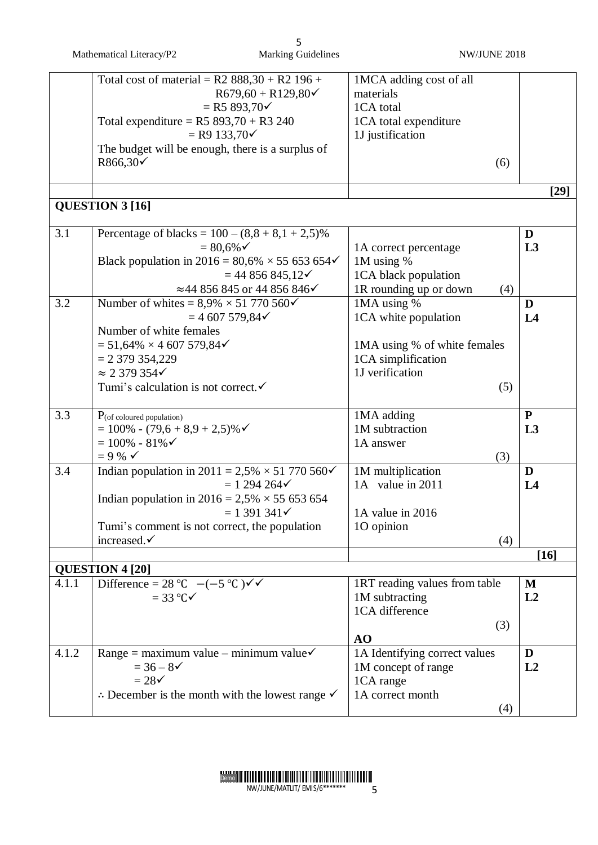|       | Mathematical Literacy/P2                                                                                                                                                                                                                                 | 5<br><b>Marking Guidelines</b>                                      | NW/JUNE 2018                                                                                                 |                        |
|-------|----------------------------------------------------------------------------------------------------------------------------------------------------------------------------------------------------------------------------------------------------------|---------------------------------------------------------------------|--------------------------------------------------------------------------------------------------------------|------------------------|
|       | Total cost of material = $R2$ 888,30 + $R2$ 196 +<br>Total expenditure = $R5 893,70 + R3 240$<br>$=$ R9 133,70 $\checkmark$<br>The budget will be enough, there is a surplus of<br>$R866,30\checkmark$                                                   | $R679,60 + R129,80\checkmark$<br>$=$ R5 893,70 $\checkmark$         | 1MCA adding cost of all<br>materials<br>1CA total<br>1CA total expenditure<br>1J justification               | (6)                    |
|       |                                                                                                                                                                                                                                                          |                                                                     |                                                                                                              | $[29]$                 |
|       | <b>QUESTION 3 [16]</b>                                                                                                                                                                                                                                   |                                                                     |                                                                                                              |                        |
| 3.1   | Percentage of blacks = $100 - (8, 8 + 8, 1 + 2, 5)\%$<br>$= 80,6%$<br>Black population in 2016 = $80,6\% \times 55,653,654\checkmark$                                                                                                                    | $= 44856845,12\checkmark$<br>≈44 856 845 or 44 856 846 $\checkmark$ | 1A correct percentage<br>1M using $%$<br>1CA black population<br>1R rounding up or down                      | D<br>L3<br>(4)         |
| 3.2   | Number of whites = $8,9\% \times 51770560\checkmark$<br>$= 4607579,84 \checkmark$<br>Number of white females<br>$= 51,64\% \times 4,607,579,84\checkmark$<br>$= 2379354,229$<br>$\approx$ 2 379 354 $\checkmark$<br>Tumi's calculation is not correct. ✓ |                                                                     | 1MA using %<br>1CA white population<br>1MA using % of white females<br>1CA simplification<br>1J verification | D<br>L4<br>(5)         |
| 3.3   | $P_{\text{(of coloured population)}}$<br>$= 100\% - (79.6 + 8.9 + 2.5)\%$<br>$= 100\% - 81\%$<br>$= 9 \% \checkmark$                                                                                                                                     |                                                                     | 1MA adding<br>1M subtraction<br>1A answer                                                                    | ${\bf P}$<br>L3<br>(3) |
| 3.4   | Indian population in 2011 = 2,5% $\times$ 51 770 560 $\checkmark$<br>Indian population in $2016 = 2{,}5\% \times 55{,}653{,}654$<br>Tumi's comment is not correct, the population<br>increased.√                                                         | $= 1294264$<br>$= 1391341 \checkmark$                               | 1M multiplication<br>1A value in 2011<br>1A value in 2016<br>10 opinion                                      | D<br>L4<br>(4)         |
|       |                                                                                                                                                                                                                                                          |                                                                     |                                                                                                              | $[16]$                 |
| 4.1.1 | <b>QUESTION 4 [20]</b><br>Difference = 28 °C $-(-5 \degree C) \checkmark$<br>$=$ 33 °C $\checkmark$                                                                                                                                                      |                                                                     | 1RT reading values from table<br>1M subtracting<br>1CA difference<br>AO                                      | M<br>L2<br>(3)         |
| 4.1.2 | Range = maximum value - minimum value<br>$= 36 - 8$<br>$= 28\checkmark$<br>$\therefore$ December is the month with the lowest range $\checkmark$                                                                                                         |                                                                     | 1A Identifying correct values<br>1M concept of range<br>1CA range<br>1A correct month                        | D<br>L2<br>(4)         |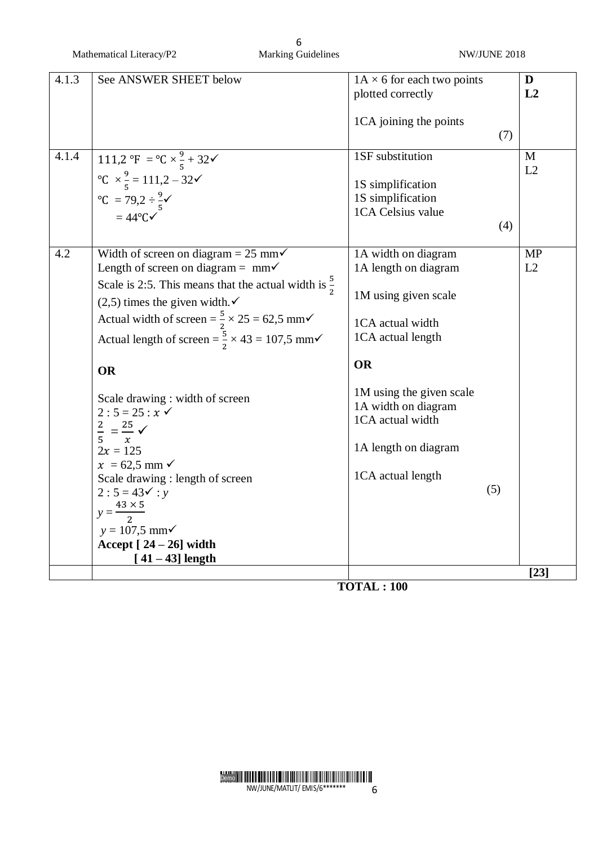| 4.1.3 | See ANSWER SHEET below                                                    | $1A \times 6$ for each two points |     | D         |
|-------|---------------------------------------------------------------------------|-----------------------------------|-----|-----------|
|       |                                                                           | plotted correctly                 |     | L2        |
|       |                                                                           | 1CA joining the points            |     |           |
|       |                                                                           |                                   | (7) |           |
| 4.1.4 | 111,2 °F = °C $\times \frac{9}{5} + 32$                                   | 1SF substitution                  |     | M         |
|       |                                                                           |                                   |     | L2        |
|       | °C × $\frac{9}{5}$ = 111,2 − 32 $\checkmark$<br>°C = 79,2 ÷ $\frac{9}{5}$ | 1S simplification                 |     |           |
|       |                                                                           | 1S simplification                 |     |           |
|       | $=44^{\circ}$ C $\checkmark$                                              | 1CA Celsius value                 |     |           |
|       |                                                                           |                                   | (4) |           |
| 4.2   | Width of screen on diagram = 25 mm $\checkmark$                           | 1A width on diagram               |     | <b>MP</b> |
|       | Length of screen on diagram = $mm\checkmark$                              | 1A length on diagram              |     | L2        |
|       | Scale is 2:5. This means that the actual width is $\frac{5}{2}$           |                                   |     |           |
|       | $(2,5)$ times the given width. $\checkmark$                               | 1M using given scale              |     |           |
|       | Actual width of screen = $\frac{5}{2} \times 25 = 62.5$ mm $\checkmark$   | 1CA actual width                  |     |           |
|       | Actual length of screen = $\frac{5}{2} \times 43 = 107.5$ mm $\checkmark$ | 1CA actual length                 |     |           |
|       | <b>OR</b>                                                                 | <b>OR</b>                         |     |           |
|       |                                                                           | 1M using the given scale          |     |           |
|       | Scale drawing : width of screen<br>$2:5 = 25: x \checkmark$               | 1A width on diagram               |     |           |
|       |                                                                           | 1CA actual width                  |     |           |
|       | $\frac{2}{5} = \frac{25}{x}$ $\checkmark$                                 |                                   |     |           |
|       | $2x = 125$                                                                | 1A length on diagram              |     |           |
|       | $x = 62.5$ mm $\checkmark$                                                | 1CA actual length                 |     |           |
|       | Scale drawing : length of screen<br>$2:5 = 43 \checkmark : y$             |                                   | (5) |           |
|       |                                                                           |                                   |     |           |
|       | $y = \frac{43 \times 5}{ }$                                               |                                   |     |           |
|       | $y = 107,5$ mm $\checkmark$                                               |                                   |     |           |
|       | Accept $[24-26]$ width                                                    |                                   |     |           |
|       | $[41 - 43]$ length                                                        |                                   |     | [23]      |
|       |                                                                           | $T\Omega TAT \cdot 100$           |     |           |

**TOTAL : 100**